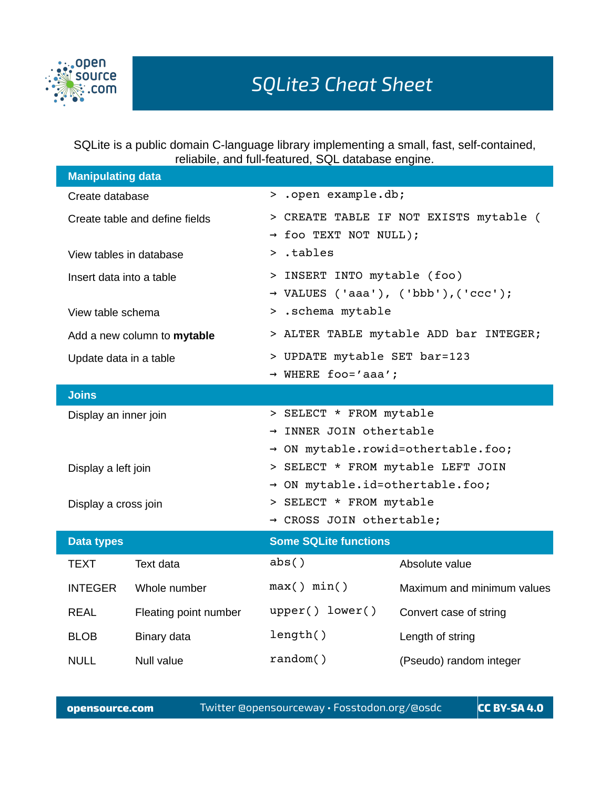

SQLite is a public domain C-language library implementing a small, fast, self-contained, reliabile, and full-featured, SQL database engine.

| <b>Manipulating data</b>       |                       |                                                 |                            |  |
|--------------------------------|-----------------------|-------------------------------------------------|----------------------------|--|
| Create database                |                       | > .open example.db;                             |                            |  |
| Create table and define fields |                       | > CREATE TABLE IF NOT EXISTS mytable (          |                            |  |
|                                |                       | $\rightarrow$ foo TEXT NOT NULL);               |                            |  |
| View tables in database        |                       | $>$ .tables                                     |                            |  |
| Insert data into a table       |                       | > INSERT INTO mytable (foo)                     |                            |  |
|                                |                       | $\rightarrow$ VALUES ('aaa'), ('bbb'), ('ccc'); |                            |  |
| View table schema              |                       | > .schema mytable                               |                            |  |
| Add a new column to mytable    |                       | > ALTER TABLE mytable ADD bar INTEGER;          |                            |  |
| Update data in a table         |                       | > UPDATE mytable SET bar=123                    |                            |  |
|                                |                       | $\rightarrow$ WHERE foo='aaa';                  |                            |  |
| <b>Joins</b>                   |                       |                                                 |                            |  |
| Display an inner join          |                       | > SELECT * FROM mytable                         |                            |  |
|                                |                       | → INNER JOIN othertable                         |                            |  |
|                                |                       | → ON mytable.rowid=othertable.foo;              |                            |  |
| Display a left join            |                       | > SELECT * FROM mytable LEFT JOIN               |                            |  |
|                                |                       | → ON mytable.id=othertable.foo;                 |                            |  |
| Display a cross join           |                       | > SELECT * FROM mytable                         |                            |  |
|                                |                       | → CROSS JOIN othertable;                        |                            |  |
| <b>Data types</b>              |                       | <b>Some SQLite functions</b>                    |                            |  |
| <b>TEXT</b>                    | Text data             | abs()                                           | Absolute value             |  |
| <b>INTEGER</b>                 | Whole number          | max() min()                                     | Maximum and minimum values |  |
| <b>REAL</b>                    | Fleating point number | upper() lower()                                 | Convert case of string     |  |
| <b>BLOB</b>                    | Binary data           | length()                                        | Length of string           |  |
| <b>NULL</b>                    | <b>Null value</b>     | random()                                        | (Pseudo) random integer    |  |

**opensource.com** Twitter @opensourceway • Fosstodon.org/@osdc **CC BY-SA 4.0**